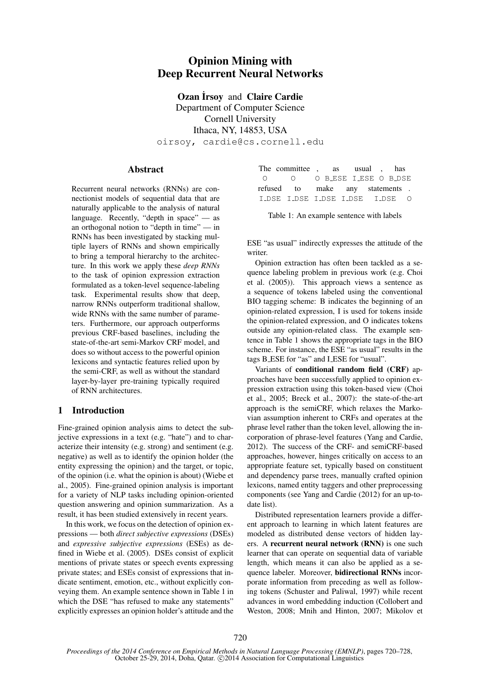# Opinion Mining with Deep Recurrent Neural Networks

**Ozan İrsoy and Claire Cardie** 

Department of Computer Science Cornell University Ithaca, NY, 14853, USA oirsoy, cardie@cs.cornell.edu

### Abstract

Recurrent neural networks (RNNs) are connectionist models of sequential data that are naturally applicable to the analysis of natural language. Recently, "depth in space" — as an orthogonal notion to "depth in time" — in RNNs has been investigated by stacking multiple layers of RNNs and shown empirically to bring a temporal hierarchy to the architecture. In this work we apply these *deep RNNs* to the task of opinion expression extraction formulated as a token-level sequence-labeling task. Experimental results show that deep, narrow RNNs outperform traditional shallow, wide RNNs with the same number of parameters. Furthermore, our approach outperforms previous CRF-based baselines, including the state-of-the-art semi-Markov CRF model, and does so without access to the powerful opinion lexicons and syntactic features relied upon by the semi-CRF, as well as without the standard layer-by-layer pre-training typically required of RNN architectures.

### 1 Introduction

Fine-grained opinion analysis aims to detect the subjective expressions in a text (e.g. "hate") and to characterize their intensity (e.g. strong) and sentiment (e.g. negative) as well as to identify the opinion holder (the entity expressing the opinion) and the target, or topic, of the opinion (i.e. what the opinion is about) (Wiebe et al., 2005). Fine-grained opinion analysis is important for a variety of NLP tasks including opinion-oriented question answering and opinion summarization. As a result, it has been studied extensively in recent years.

In this work, we focus on the detection of opinion expressions — both *direct subjective expressions* (DSEs) and *expressive subjective expressions* (ESEs) as defined in Wiebe et al. (2005). DSEs consist of explicit mentions of private states or speech events expressing private states; and ESEs consist of expressions that indicate sentiment, emotion, etc., without explicitly conveying them. An example sentence shown in Table 1 in which the DSE "has refused to make any statements" explicitly expresses an opinion holder's attitude and the

|  |                                 | The committee, as usual, has |  |  |  |  |  |
|--|---------------------------------|------------------------------|--|--|--|--|--|
|  | 0 0 0 BLESE ILESE O BLDSE       |                              |  |  |  |  |  |
|  | refused to make any statements. |                              |  |  |  |  |  |
|  | I DSE I DSE I DSE I DSE I DSE O |                              |  |  |  |  |  |

Table 1: An example sentence with labels

ESE "as usual" indirectly expresses the attitude of the writer.

Opinion extraction has often been tackled as a sequence labeling problem in previous work (e.g. Choi et al. (2005)). This approach views a sentence as a sequence of tokens labeled using the conventional BIO tagging scheme: B indicates the beginning of an opinion-related expression, I is used for tokens inside the opinion-related expression, and O indicates tokens outside any opinion-related class. The example sentence in Table 1 shows the appropriate tags in the BIO scheme. For instance, the ESE "as usual" results in the tags B ESE for "as" and I ESE for "usual".

Variants of conditional random field (CRF) approaches have been successfully applied to opinion expression extraction using this token-based view (Choi et al., 2005; Breck et al., 2007): the state-of-the-art approach is the semiCRF, which relaxes the Markovian assumption inherent to CRFs and operates at the phrase level rather than the token level, allowing the incorporation of phrase-level features (Yang and Cardie, 2012). The success of the CRF- and semiCRF-based approaches, however, hinges critically on access to an appropriate feature set, typically based on constituent and dependency parse trees, manually crafted opinion lexicons, named entity taggers and other preprocessing components (see Yang and Cardie (2012) for an up-todate list).

Distributed representation learners provide a different approach to learning in which latent features are modeled as distributed dense vectors of hidden layers. A recurrent neural network (RNN) is one such learner that can operate on sequential data of variable length, which means it can also be applied as a sequence labeler. Moreover, bidirectional RNNs incorporate information from preceding as well as following tokens (Schuster and Paliwal, 1997) while recent advances in word embedding induction (Collobert and Weston, 2008; Mnih and Hinton, 2007; Mikolov et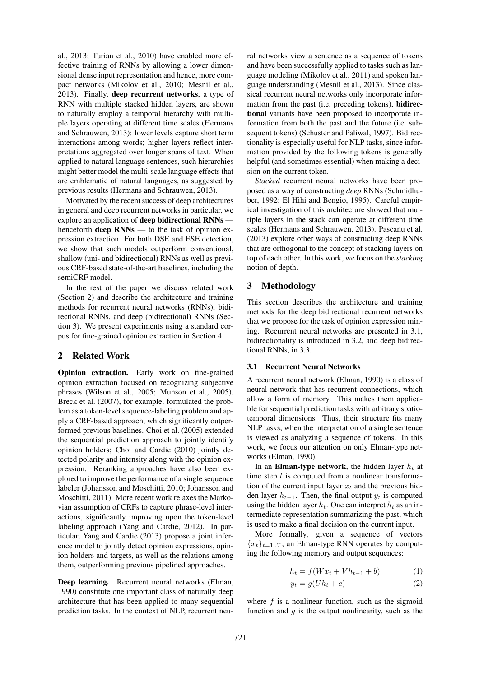al., 2013; Turian et al., 2010) have enabled more effective training of RNNs by allowing a lower dimensional dense input representation and hence, more compact networks (Mikolov et al., 2010; Mesnil et al., 2013). Finally, deep recurrent networks, a type of RNN with multiple stacked hidden layers, are shown to naturally employ a temporal hierarchy with multiple layers operating at different time scales (Hermans and Schrauwen, 2013): lower levels capture short term interactions among words; higher layers reflect interpretations aggregated over longer spans of text. When applied to natural language sentences, such hierarchies might better model the multi-scale language effects that are emblematic of natural languages, as suggested by previous results (Hermans and Schrauwen, 2013).

Motivated by the recent success of deep architectures in general and deep recurrent networks in particular, we explore an application of deep bidirectional RNNs henceforth **deep RNNs** — to the task of opinion expression extraction. For both DSE and ESE detection, we show that such models outperform conventional, shallow (uni- and bidirectional) RNNs as well as previous CRF-based state-of-the-art baselines, including the semiCRF model.

In the rest of the paper we discuss related work (Section 2) and describe the architecture and training methods for recurrent neural networks (RNNs), bidirectional RNNs, and deep (bidirectional) RNNs (Section 3). We present experiments using a standard corpus for fine-grained opinion extraction in Section 4.

## 2 Related Work

Opinion extraction. Early work on fine-grained opinion extraction focused on recognizing subjective phrases (Wilson et al., 2005; Munson et al., 2005). Breck et al. (2007), for example, formulated the problem as a token-level sequence-labeling problem and apply a CRF-based approach, which significantly outperformed previous baselines. Choi et al. (2005) extended the sequential prediction approach to jointly identify opinion holders; Choi and Cardie (2010) jointly detected polarity and intensity along with the opinion expression. Reranking approaches have also been explored to improve the performance of a single sequence labeler (Johansson and Moschitti, 2010; Johansson and Moschitti, 2011). More recent work relaxes the Markovian assumption of CRFs to capture phrase-level interactions, significantly improving upon the token-level labeling approach (Yang and Cardie, 2012). In particular, Yang and Cardie (2013) propose a joint inference model to jointly detect opinion expressions, opinion holders and targets, as well as the relations among them, outperforming previous pipelined approaches.

Deep learning. Recurrent neural networks (Elman, 1990) constitute one important class of naturally deep architecture that has been applied to many sequential prediction tasks. In the context of NLP, recurrent neural networks view a sentence as a sequence of tokens and have been successfully applied to tasks such as language modeling (Mikolov et al., 2011) and spoken language understanding (Mesnil et al., 2013). Since classical recurrent neural networks only incorporate information from the past (i.e. preceding tokens), bidirectional variants have been proposed to incorporate information from both the past and the future (i.e. subsequent tokens) (Schuster and Paliwal, 1997). Bidirectionality is especially useful for NLP tasks, since information provided by the following tokens is generally helpful (and sometimes essential) when making a decision on the current token.

*Stacked* recurrent neural networks have been proposed as a way of constructing *deep* RNNs (Schmidhuber, 1992; El Hihi and Bengio, 1995). Careful empirical investigation of this architecture showed that multiple layers in the stack can operate at different time scales (Hermans and Schrauwen, 2013). Pascanu et al. (2013) explore other ways of constructing deep RNNs that are orthogonal to the concept of stacking layers on top of each other. In this work, we focus on the *stacking* notion of depth.

### 3 Methodology

This section describes the architecture and training methods for the deep bidirectional recurrent networks that we propose for the task of opinion expression mining. Recurrent neural networks are presented in 3.1, bidirectionality is introduced in 3.2, and deep bidirectional RNNs, in 3.3.

#### 3.1 Recurrent Neural Networks

A recurrent neural network (Elman, 1990) is a class of neural network that has recurrent connections, which allow a form of memory. This makes them applicable for sequential prediction tasks with arbitrary spatiotemporal dimensions. Thus, their structure fits many NLP tasks, when the interpretation of a single sentence is viewed as analyzing a sequence of tokens. In this work, we focus our attention on only Elman-type networks (Elman, 1990).

In an **Elman-type network**, the hidden layer  $h_t$  at time step  $t$  is computed from a nonlinear transformation of the current input layer  $x_t$  and the previous hidden layer  $h_{t-1}$ . Then, the final output  $y_t$  is computed using the hidden layer  $h_t$ . One can interpret  $h_t$  as an intermediate representation summarizing the past, which is used to make a final decision on the current input.

More formally, given a sequence of vectors  ${x_t}_{t=1..T}$ , an Elman-type RNN operates by computing the following memory and output sequences:

$$
h_t = f(Wx_t + Vh_{t-1} + b)
$$
 (1)

$$
y_t = g(Uh_t + c) \tag{2}
$$

where  $f$  is a nonlinear function, such as the sigmoid function and  $g$  is the output nonlinearity, such as the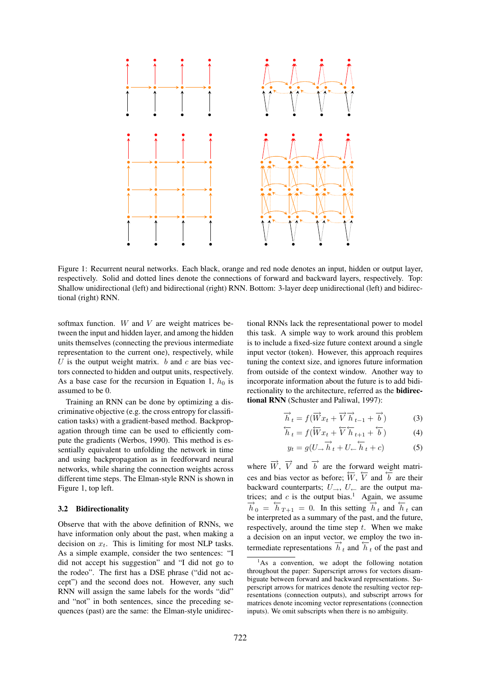

Figure 1: Recurrent neural networks. Each black, orange and red node denotes an input, hidden or output layer, respectively. Solid and dotted lines denote the connections of forward and backward layers, respectively. Top: Shallow unidirectional (left) and bidirectional (right) RNN. Bottom: 3-layer deep unidirectional (left) and bidirectional (right) RNN.

softmax function.  $W$  and  $V$  are weight matrices between the input and hidden layer, and among the hidden units themselves (connecting the previous intermediate representation to the current one), respectively, while U is the output weight matrix.  $b$  and  $c$  are bias vectors connected to hidden and output units, respectively. As a base case for the recursion in Equation 1,  $h_0$  is assumed to be 0.

Training an RNN can be done by optimizing a discriminative objective (e.g. the cross entropy for classification tasks) with a gradient-based method. Backpropagation through time can be used to efficiently compute the gradients (Werbos, 1990). This method is essentially equivalent to unfolding the network in time and using backpropagation as in feedforward neural networks, while sharing the connection weights across different time steps. The Elman-style RNN is shown in Figure 1, top left.

#### 3.2 Bidirectionality

Observe that with the above definition of RNNs, we have information only about the past, when making a decision on  $x_t$ . This is limiting for most NLP tasks. As a simple example, consider the two sentences: "I did not accept his suggestion" and "I did not go to the rodeo". The first has a DSE phrase ("did not accept") and the second does not. However, any such RNN will assign the same labels for the words "did" and "not" in both sentences, since the preceding sequences (past) are the same: the Elman-style unidirectional RNNs lack the representational power to model this task. A simple way to work around this problem is to include a fixed-size future context around a single input vector (token). However, this approach requires tuning the context size, and ignores future information from outside of the context window. Another way to incorporate information about the future is to add bidirectionality to the architecture, referred as the bidirectional RNN (Schuster and Paliwal, 1997):

$$
\overrightarrow{h}_t = f(\overrightarrow{W}x_t + \overrightarrow{V}\overrightarrow{h}_{t-1} + \overrightarrow{b})
$$
 (3)

$$
\overleftarrow{h}_t = f(\overleftarrow{W}x_t + \overleftarrow{V}\overleftarrow{h}_{t+1} + \overleftarrow{b})
$$
 (4)

$$
y_t = g(U_{\rightarrow} \overrightarrow{h}_t + U_{\leftarrow} \overleftarrow{h}_t + c) \tag{5}
$$

where  $\overrightarrow{W}$ ,  $\overrightarrow{V}$  and  $\overrightarrow{b}$  are the forward weight matrices and bias vector as before;  $\overline{W}$ ,  $\overline{V}$  and  $\overline{b}$  are their backward counterparts;  $U_{\rightarrow}$ ,  $U_{\leftarrow}$  are the output matrices; and  $c$  is the output bias.<sup>1</sup> Again, we assume  $\frac{\partial}{\partial t} = h_{T+1} = 0$ . In this setting  $\frac{\partial}{\partial t}$  and  $\frac{\partial}{\partial t}$  can be interpreted as a summary of the past, and the future, respectively, around the time step  $t$ . When we make a decision on an input vector, we employ the two intermediate representations  $\overrightarrow{h}_t$  and  $\overleftarrow{h}_t$  of the past and

 ${}^{1}$ As a convention, we adopt the following notation throughout the paper: Superscript arrows for vectors disambiguate between forward and backward representations. Superscript arrows for matrices denote the resulting vector representations (connection outputs), and subscript arrows for matrices denote incoming vector representations (connection inputs). We omit subscripts when there is no ambiguity.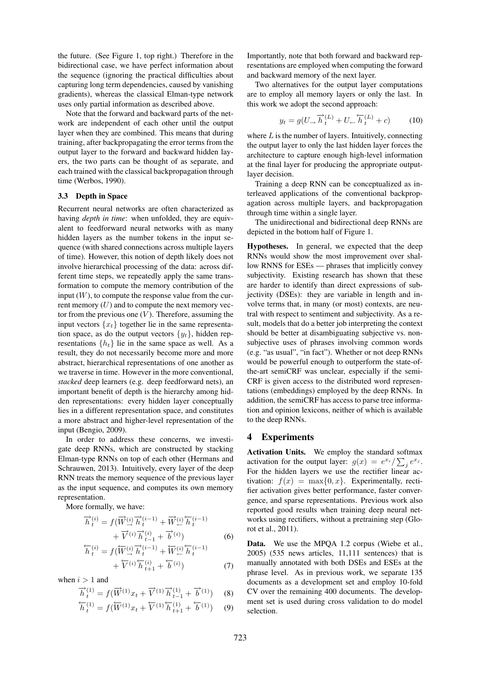the future. (See Figure 1, top right.) Therefore in the bidirectional case, we have perfect information about the sequence (ignoring the practical difficulties about capturing long term dependencies, caused by vanishing gradients), whereas the classical Elman-type network uses only partial information as described above.

Note that the forward and backward parts of the network are independent of each other until the output layer when they are combined. This means that during training, after backpropagating the error terms from the output layer to the forward and backward hidden layers, the two parts can be thought of as separate, and each trained with the classical backpropagation through time (Werbos, 1990).

#### 3.3 Depth in Space

Recurrent neural networks are often characterized as having *depth in time*: when unfolded, they are equivalent to feedforward neural networks with as many hidden layers as the number tokens in the input sequence (with shared connections across multiple layers of time). However, this notion of depth likely does not involve hierarchical processing of the data: across different time steps, we repeatedly apply the same transformation to compute the memory contribution of the input  $(W)$ , to compute the response value from the current memory  $(U)$  and to compute the next memory vector from the previous one  $(V)$ . Therefore, assuming the input vectors  $\{x_t\}$  together lie in the same representation space, as do the output vectors  $\{y_t\}$ , hidden representations  $\{h_t\}$  lie in the same space as well. As a result, they do not necessarily become more and more abstract, hierarchical representations of one another as we traverse in time. However in the more conventional, *stacked* deep learners (e.g. deep feedforward nets), an important benefit of depth is the hierarchy among hidden representations: every hidden layer conceptually lies in a different representation space, and constitutes a more abstract and higher-level representation of the input (Bengio, 2009).

In order to address these concerns, we investigate deep RNNs, which are constructed by stacking Elman-type RNNs on top of each other (Hermans and Schrauwen, 2013). Intuitively, every layer of the deep RNN treats the memory sequence of the previous layer as the input sequence, and computes its own memory representation.

More formally, we have:

$$
\overrightarrow{h}_t^{(i)} = f(\overrightarrow{W}_{\cdot}^{(i)} \overrightarrow{h}_t^{(i-1)} + \overrightarrow{W}_{\cdot}^{(i)} \overleftarrow{h}_t^{(i-1)} + \overrightarrow{V}_{\cdot}^{(i)} \overrightarrow{h}_t^{(i-1)} + \overrightarrow{V}_{\cdot}^{(i)} \overrightarrow{h}_t^{(i)} - f(\overleftarrow{W}_{\cdot}^{(i)} \overrightarrow{h}_t^{(i-1)} + \overleftarrow{W}_{\cdot}^{(i)} \overleftarrow{h}_t^{(i-1)} + \overleftarrow{W}_{\cdot}^{(i)} \overleftarrow{h}_t^{(i-1)}
$$
\n(6)

$$
+\overleftarrow{V}^{(i)}\overleftarrow{h}_{t+1}^{(i)}+\overleftarrow{b}^{(i)})\tag{7}
$$

when  $i > 1$  and

$$
\overrightarrow{h}_{t}^{(1)} = f(\overrightarrow{W}^{(1)}x_{t} + \overrightarrow{V}^{(1)}\overrightarrow{h}_{t-1}^{(1)} + \overrightarrow{b}^{(1)})
$$
 (8)

$$
\overleftarrow{h}_t^{(1)} = f(\overleftarrow{W}^{(1)}x_t + \overleftarrow{V}^{(1)}\overleftarrow{h}_{t+1}^{(1)} + \overleftarrow{b}^{(1)}) \tag{9}
$$

Importantly, note that both forward and backward representations are employed when computing the forward and backward memory of the next layer.

Two alternatives for the output layer computations are to employ all memory layers or only the last. In this work we adopt the second approach:

$$
y_t = g(U_{\rightarrow} \overrightarrow{h}_t^{(L)} + U_{\leftarrow} \overleftarrow{h}_t^{(L)} + c) \tag{10}
$$

where  $L$  is the number of layers. Intuitively, connecting the output layer to only the last hidden layer forces the architecture to capture enough high-level information at the final layer for producing the appropriate outputlayer decision.

Training a deep RNN can be conceptualized as interleaved applications of the conventional backpropagation across multiple layers, and backpropagation through time within a single layer.

The unidirectional and bidirectional deep RNNs are depicted in the bottom half of Figure 1.

Hypotheses. In general, we expected that the deep RNNs would show the most improvement over shallow RNNS for ESEs — phrases that implicitly convey subjectivity. Existing research has shown that these are harder to identify than direct expressions of subjectivity (DSEs): they are variable in length and involve terms that, in many (or most) contexts, are neutral with respect to sentiment and subjectivity. As a result, models that do a better job interpreting the context should be better at disambiguating subjective vs. nonsubjective uses of phrases involving common words (e.g. "as usual", "in fact"). Whether or not deep RNNs would be powerful enough to outperform the state-ofthe-art semiCRF was unclear, especially if the semi-CRF is given access to the distributed word representations (embeddings) employed by the deep RNNs. In addition, the semiCRF has access to parse tree information and opinion lexicons, neither of which is available to the deep RNNs.

#### 4 Experiments

Activation Units. We employ the standard softmax activation for the output layer:  $g(x) = e^{x_i} / \sum_j e^{x_j}$ . For the hidden layers we use the rectifier linear activation:  $f(x) = \max\{0, x\}$ . Experimentally, rectifier activation gives better performance, faster convergence, and sparse representations. Previous work also reported good results when training deep neural networks using rectifiers, without a pretraining step (Glorot et al., 2011).

Data. We use the MPOA 1.2 corpus (Wiebe et al., 2005) (535 news articles, 11,111 sentences) that is manually annotated with both DSEs and ESEs at the phrase level. As in previous work, we separate 135 documents as a development set and employ 10-fold CV over the remaining 400 documents. The development set is used during cross validation to do model selection.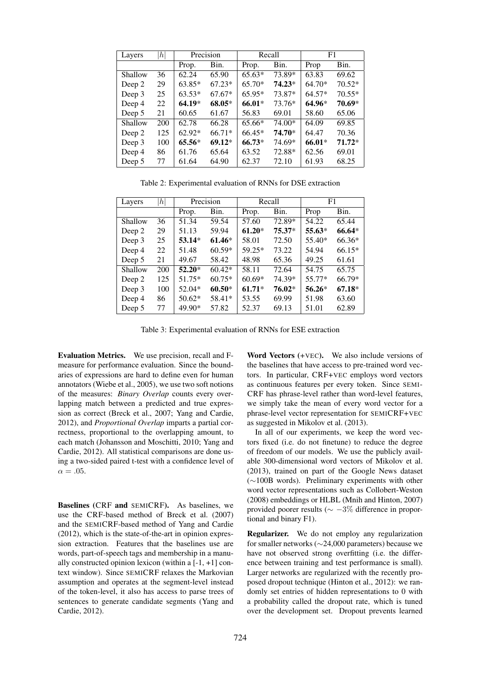| Layers  | h   | Precision |          |          | Recall   | F1       |          |
|---------|-----|-----------|----------|----------|----------|----------|----------|
|         |     | Prop.     | Bin.     | Prop.    | Bin.     | Prop     | Bin.     |
| Shallow | 36  | 62.24     | 65.90    | $65.63*$ | 73.89*   | 63.83    | 69.62    |
| Deep 2  | 29  | $63.85*$  | $67.23*$ | $65.70*$ | $74.23*$ | $64.70*$ | $70.52*$ |
| Deep 3  | 25  | $63.53*$  | $67.67*$ | $65.95*$ | 73.87*   | $64.57*$ | $70.55*$ |
| Deep 4  | 22  | $64.19*$  | 68.05*   | 66.01*   | 73.76*   | $64.96*$ | 70.69*   |
| Deep 5  | 21  | 60.65     | 61.67    | 56.83    | 69.01    | 58.60    | 65.06    |
| Shallow | 200 | 62.78     | 66.28    | $65.66*$ | 74.00*   | 64.09    | 69.85    |
| Deep 2  | 125 | $62.92*$  | $66.71*$ | $66.45*$ | 74.70*   | 64.47    | 70.36    |
| Deep 3  | 100 | $65.56*$  | $69.12*$ | $66.73*$ | 74.69*   | $66.01*$ | $71.72*$ |
| Deep 4  | 86  | 61.76     | 65.64    | 63.52    | 72.88*   | 62.56    | 69.01    |
| Deep 5  | 77  | 61.64     | 64.90    | 62.37    | 72.10    | 61.93    | 68.25    |

Table 2: Experimental evaluation of RNNs for DSE extraction

| Layers  | h   | Precision |          |          | Recall   | F1       |          |
|---------|-----|-----------|----------|----------|----------|----------|----------|
|         |     | Prop.     | Bin.     | Prop.    | Bin.     | Prop     | Bin.     |
| Shallow | 36  | 51.34     | 59.54    | 57.60    | 72.89*   | 54.22    | 65.44    |
| Deep 2  | 29  | 51.13     | 59.94    | $61.20*$ | $75.37*$ | 55.63*   | 66.64*   |
| Deep 3  | 25  | $53.14*$  | $61.46*$ | 58.01    | 72.50    | 55.40*   | 66.36*   |
| Deep 4  | 22  | 51.48     | $60.59*$ | 59.25*   | 73.22    | 54.94    | $66.15*$ |
| Deep 5  | 21  | 49.67     | 58.42    | 48.98    | 65.36    | 49.25    | 61.61    |
| Shallow | 200 | $52.20*$  | $60.42*$ | 58.11    | 72.64    | 54.75    | 65.75    |
| Deep 2  | 125 | 51.75*    | $60.75*$ | $60.69*$ | 74.39*   | 55.77*   | 66.79*   |
| Deep 3  | 100 | 52.04*    | $60.50*$ | $61.71*$ | 76.02*   | $56.26*$ | $67.18*$ |
| Deep 4  | 86  | 50.62*    | 58.41*   | 53.55    | 69.99    | 51.98    | 63.60    |
| Deep 5  | 77  | 49.90*    | 57.82    | 52.37    | 69.13    | 51.01    | 62.89    |

Table 3: Experimental evaluation of RNNs for ESE extraction

Evaluation Metrics. We use precision, recall and Fmeasure for performance evaluation. Since the boundaries of expressions are hard to define even for human annotators (Wiebe et al., 2005), we use two soft notions of the measures: *Binary Overlap* counts every overlapping match between a predicted and true expression as correct (Breck et al., 2007; Yang and Cardie, 2012), and *Proportional Overlap* imparts a partial correctness, proportional to the overlapping amount, to each match (Johansson and Moschitti, 2010; Yang and Cardie, 2012). All statistical comparisons are done using a two-sided paired t-test with a confidence level of  $\alpha = .05$ .

Baselines (CRF and SEMICRF). As baselines, we use the CRF-based method of Breck et al. (2007) and the SEMICRF-based method of Yang and Cardie (2012), which is the state-of-the-art in opinion expression extraction. Features that the baselines use are words, part-of-speech tags and membership in a manually constructed opinion lexicon (within a  $[-1, +1]$  context window). Since SEMICRF relaxes the Markovian assumption and operates at the segment-level instead of the token-level, it also has access to parse trees of sentences to generate candidate segments (Yang and Cardie, 2012).

Word Vectors  $(+VEC)$ . We also include versions of the baselines that have access to pre-trained word vectors. In particular, CRF+VEC employs word vectors as continuous features per every token. Since SEMI-CRF has phrase-level rather than word-level features, we simply take the mean of every word vector for a phrase-level vector representation for SEMICRF+VEC as suggested in Mikolov et al. (2013).

In all of our experiments, we keep the word vectors fixed (i.e. do not finetune) to reduce the degree of freedom of our models. We use the publicly available 300-dimensional word vectors of Mikolov et al. (2013), trained on part of the Google News dataset (∼100B words). Preliminary experiments with other word vector representations such as Collobert-Weston (2008) embeddings or HLBL (Mnih and Hinton, 2007) provided poorer results ( $\sim -3\%$  difference in proportional and binary F1).

Regularizer. We do not employ any regularization for smaller networks (∼24,000 parameters) because we have not observed strong overfitting (i.e. the difference between training and test performance is small). Larger networks are regularized with the recently proposed dropout technique (Hinton et al., 2012): we randomly set entries of hidden representations to 0 with a probability called the dropout rate, which is tuned over the development set. Dropout prevents learned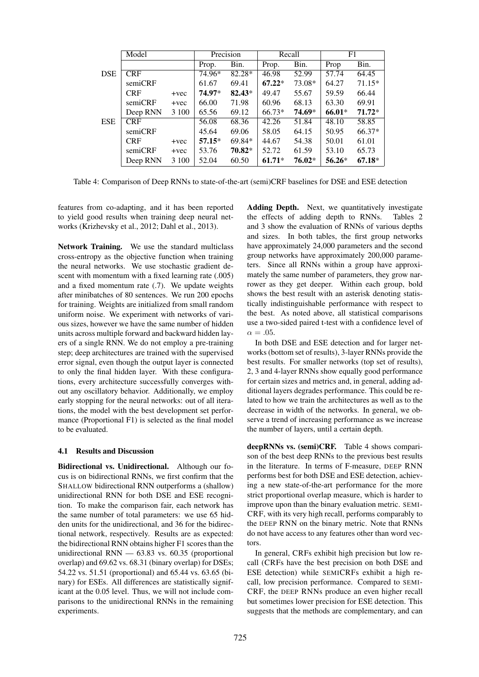|            | Model      |         | Precision |          | Recall   |          | F1       |          |
|------------|------------|---------|-----------|----------|----------|----------|----------|----------|
|            |            |         | Prop.     | Bin.     | Prop.    | Bin.     | Prop     | Bin.     |
| <b>DSE</b> | <b>CRF</b> |         | 74.96*    | 82.28*   | 46.98    | 52.99    | 57.74    | 64.45    |
|            | semiCRF    |         | 61.67     | 69.41    | $67.22*$ | 73.08*   | 64.27    | 71.15*   |
|            | <b>CRF</b> | $+vec$  | 74.97*    | $82.43*$ | 49.47    | 55.67    | 59.59    | 66.44    |
|            | semiCRF    | $+vec$  | 66.00     | 71.98    | 60.96    | 68.13    | 63.30    | 69.91    |
|            | Deep RNN   | 3 1 0 0 | 65.56     | 69.12    | $66.73*$ | 74.69*   | 66.01*   | $71.72*$ |
| <b>ESE</b> | <b>CRF</b> |         | 56.08     | 68.36    | 42.26    | 51.84    | 48.10    | 58.85    |
|            | semiCRF    |         | 45.64     | 69.06    | 58.05    | 64.15    | 50.95    | $66.37*$ |
|            | <b>CRF</b> | $+vec$  | $57.15*$  | 69.84*   | 44.67    | 54.38    | 50.01    | 61.01    |
|            | semiCRF    | $+vec$  | 53.76     | 70.82*   | 52.72    | 61.59    | 53.10    | 65.73    |
|            | Deep RNN   | 3 100   | 52.04     | 60.50    | $61.71*$ | $76.02*$ | $56.26*$ | $67.18*$ |

Table 4: Comparison of Deep RNNs to state-of-the-art (semi)CRF baselines for DSE and ESE detection

features from co-adapting, and it has been reported to yield good results when training deep neural networks (Krizhevsky et al., 2012; Dahl et al., 2013).

Network Training. We use the standard multiclass cross-entropy as the objective function when training the neural networks. We use stochastic gradient descent with momentum with a fixed learning rate  $(.005)$ and a fixed momentum rate (.7). We update weights after minibatches of 80 sentences. We run 200 epochs for training. Weights are initialized from small random uniform noise. We experiment with networks of various sizes, however we have the same number of hidden units across multiple forward and backward hidden layers of a single RNN. We do not employ a pre-training step; deep architectures are trained with the supervised error signal, even though the output layer is connected to only the final hidden layer. With these configurations, every architecture successfully converges without any oscillatory behavior. Additionally, we employ early stopping for the neural networks: out of all iterations, the model with the best development set performance (Proportional F1) is selected as the final model to be evaluated.

#### 4.1 Results and Discussion

Bidirectional vs. Unidirectional. Although our focus is on bidirectional RNNs, we first confirm that the SHALLOW bidirectional RNN outperforms a (shallow) unidirectional RNN for both DSE and ESE recognition. To make the comparison fair, each network has the same number of total parameters: we use 65 hidden units for the unidirectional, and 36 for the bidirectional network, respectively. Results are as expected: the bidirectional RNN obtains higher F1 scores than the unidirectional RNN  $-63.83$  vs. 60.35 (proportional overlap) and 69.62 vs. 68.31 (binary overlap) for DSEs; 54.22 vs. 51.51 (proportional) and 65.44 vs. 63.65 (binary) for ESEs. All differences are statistically significant at the 0.05 level. Thus, we will not include comparisons to the unidirectional RNNs in the remaining experiments.

Adding Depth. Next, we quantitatively investigate the effects of adding depth to RNNs. Tables 2 and 3 show the evaluation of RNNs of various depths and sizes. In both tables, the first group networks have approximately 24,000 parameters and the second group networks have approximately 200,000 parameters. Since all RNNs within a group have approximately the same number of parameters, they grow narrower as they get deeper. Within each group, bold shows the best result with an asterisk denoting statistically indistinguishable performance with respect to the best. As noted above, all statistical comparisons use a two-sided paired t-test with a confidence level of  $\alpha = .05$ .

In both DSE and ESE detection and for larger networks (bottom set of results), 3-layer RNNs provide the best results. For smaller networks (top set of results), 2, 3 and 4-layer RNNs show equally good performance for certain sizes and metrics and, in general, adding additional layers degrades performance. This could be related to how we train the architectures as well as to the decrease in width of the networks. In general, we observe a trend of increasing performance as we increase the number of layers, until a certain depth.

deepRNNs vs. (semi)CRF. Table 4 shows comparison of the best deep RNNs to the previous best results in the literature. In terms of F-measure, DEEP RNN performs best for both DSE and ESE detection, achieving a new state-of-the-art performance for the more strict proportional overlap measure, which is harder to improve upon than the binary evaluation metric. SEMI-CRF, with its very high recall, performs comparably to the DEEP RNN on the binary metric. Note that RNNs do not have access to any features other than word vectors.

In general, CRFs exhibit high precision but low recall (CRFs have the best precision on both DSE and ESE detection) while SEMICRFs exhibit a high recall, low precision performance. Compared to SEMI-CRF, the DEEP RNNs produce an even higher recall but sometimes lower precision for ESE detection. This suggests that the methods are complementary, and can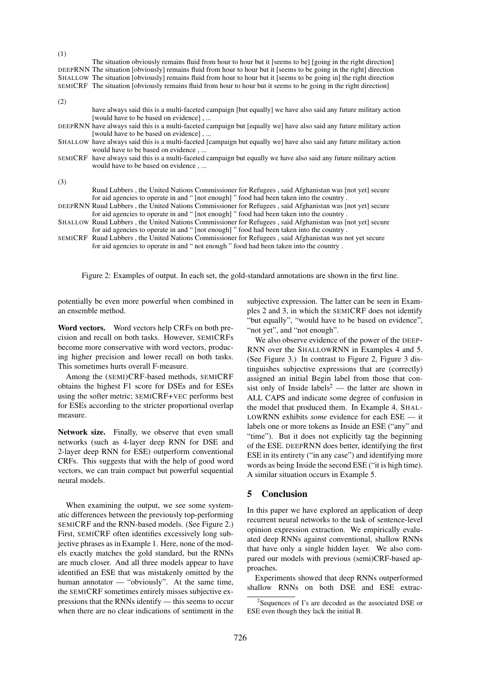The situation obviously remains fluid from hour to hour but it [seems to be] [going in the right direction] DEEPRNN The situation [obviously] remains fluid from hour to hour but it [seems to be going in the right] direction SHALLOW The situation [obviously] remains fluid from hour to hour but it [seems to be going in] the right direction SEMICRF The situation [obviously remains fluid from hour to hour but it seems to be going in the right direction]

| (2) |                                                                                                                      |
|-----|----------------------------------------------------------------------------------------------------------------------|
|     | have always said this is a multi-faceted campaign [but equally] we have also said any future military action         |
|     | [would have to be based on evidence],                                                                                |
|     | DEEPRNN have always said this is a multi-faceted campaign but [equally we] have also said any future military action |
|     | [would have to be based on evidence],                                                                                |
|     | SHALLOW have always said this is a multi-faceted [campaign but equally we] have also said any future military action |
|     | would have to be based on evidence,                                                                                  |
|     | SEMICRF have always said this is a multi-faceted campaign but equally we have also said any future military action   |
|     | would have to be based on evidence,                                                                                  |
|     |                                                                                                                      |
| (3) |                                                                                                                      |
|     | Ruud Lubbers, the United Nations Commissioner for Refugees, said Afghanistan was [not yet] secure                    |

for aid agencies to operate in and " [not enough] " food had been taken into the country .

DEEPRNN Ruud Lubbers , the United Nations Commissioner for Refugees , said Afghanistan was [not yet] secure for aid agencies to operate in and " [not enough] " food had been taken into the country .

- SHALLOW Ruud Lubbers , the United Nations Commissioner for Refugees , said Afghanistan was [not yet] secure
- for aid agencies to operate in and " [not enough] " food had been taken into the country . SEMICRF Ruud Lubbers , the United Nations Commissioner for Refugees , said Afghanistan was not yet secure
- for aid agencies to operate in and " not enough " food had been taken into the country .

Figure 2: Examples of output. In each set, the gold-standard annotations are shown in the first line.

potentially be even more powerful when combined in an ensemble method.

(1)

Word vectors. Word vectors help CRFs on both precision and recall on both tasks. However, SEMICRFs become more conservative with word vectors, producing higher precision and lower recall on both tasks. This sometimes hurts overall F-measure.

Among the (SEMI)CRF-based methods, SEMICRF obtains the highest F1 score for DSEs and for ESEs using the softer metric; SEMICRF+VEC performs best for ESEs according to the stricter proportional overlap measure.

Network size. Finally, we observe that even small networks (such as 4-layer deep RNN for DSE and 2-layer deep RNN for ESE) outperform conventional CRFs. This suggests that with the help of good word vectors, we can train compact but powerful sequential neural models.

When examining the output, we see some systematic differences between the previously top-performing SEMICRF and the RNN-based models. (See Figure 2.) First, SEMICRF often identifies excessively long subjective phrases as in Example 1. Here, none of the models exactly matches the gold standard, but the RNNs are much closer. And all three models appear to have identified an ESE that was mistakenly omitted by the human annotator — "obviously". At the same time, the SEMICRF sometimes entirely misses subjective expressions that the RNNs identify — this seems to occur when there are no clear indications of sentiment in the

subjective expression. The latter can be seen in Examples 2 and 3, in which the SEMICRF does not identify "but equally", "would have to be based on evidence", "not yet", and "not enough".

We also observe evidence of the power of the DEEP-RNN over the SHALLOWRNN in Examples 4 and 5. (See Figure 3.) In contrast to Figure 2, Figure 3 distinguishes subjective expressions that are (correctly) assigned an initial Begin label from those that consist only of Inside labels<sup>2</sup> — the latter are shown in ALL CAPS and indicate some degree of confusion in the model that produced them. In Example 4, SHAL-LOWRNN exhibits *some* evidence for each ESE — it labels one or more tokens as Inside an ESE ("any" and "time"). But it does not explicitly tag the beginning of the ESE. DEEPRNN does better, identifying the first ESE in its entirety ("in any case") and identifying more words as being Inside the second ESE ("it is high time). A similar situation occurs in Example 5.

# 5 Conclusion

In this paper we have explored an application of deep recurrent neural networks to the task of sentence-level opinion expression extraction. We empirically evaluated deep RNNs against conventional, shallow RNNs that have only a single hidden layer. We also compared our models with previous (semi)CRF-based approaches.

Experiments showed that deep RNNs outperformed shallow RNNs on both DSE and ESE extrac-

<sup>&</sup>lt;sup>2</sup>Sequences of I's are decoded as the associated DSE or ESE even though they lack the initial B.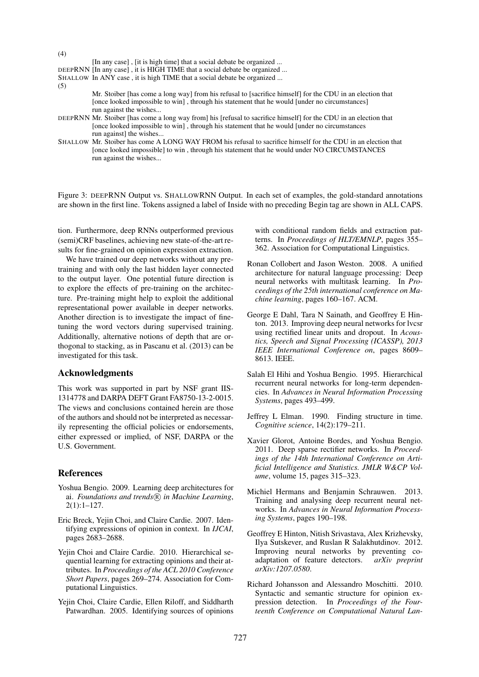[In any case] , [it is high time] that a social debate be organized ... DEEPRNN [In any case] , it is HIGH TIME that a social debate be organized ... SHALLOW In ANY case , it is high TIME that a social debate be organized ... (5)

Mr. Stoiber [has come a long way] from his refusal to [sacrifice himself] for the CDU in an election that [once looked impossible to win], through his statement that he would [under no circumstances] run against the wishes...

- DEEPRNN Mr. Stoiber [has come a long way from] his [refusal to sacrifice himself] for the CDU in an election that [once looked impossible to win] , through his statement that he would [under no circumstances run against] the wishes...
- SHALLOW Mr. Stoiber has come A LONG WAY FROM his refusal to sacrifice himself for the CDU in an election that [once looked impossible] to win , through his statement that he would under NO CIRCUMSTANCES run against the wishes...

Figure 3: DEEPRNN Output vs. SHALLOWRNN Output. In each set of examples, the gold-standard annotations are shown in the first line. Tokens assigned a label of Inside with no preceding Begin tag are shown in ALL CAPS.

tion. Furthermore, deep RNNs outperformed previous (semi)CRF baselines, achieving new state-of-the-art results for fine-grained on opinion expression extraction.

We have trained our deep networks without any pretraining and with only the last hidden layer connected to the output layer. One potential future direction is to explore the effects of pre-training on the architecture. Pre-training might help to exploit the additional representational power available in deeper networks. Another direction is to investigate the impact of finetuning the word vectors during supervised training. Additionally, alternative notions of depth that are orthogonal to stacking, as in Pascanu et al. (2013) can be investigated for this task.

### Acknowledgments

(4)

This work was supported in part by NSF grant IIS-1314778 and DARPA DEFT Grant FA8750-13-2-0015. The views and conclusions contained herein are those of the authors and should not be interpreted as necessarily representing the official policies or endorsements, either expressed or implied, of NSF, DARPA or the U.S. Government.

# References

- Yoshua Bengio. 2009. Learning deep architectures for ai. Foundations and trends<sup>(R)</sup> in Machine Learning, 2(1):1–127.
- Eric Breck, Yejin Choi, and Claire Cardie. 2007. Identifying expressions of opinion in context. In *IJCAI*, pages 2683–2688.
- Yejin Choi and Claire Cardie. 2010. Hierarchical sequential learning for extracting opinions and their attributes. In *Proceedings of the ACL 2010 Conference Short Papers*, pages 269–274. Association for Computational Linguistics.
- Yejin Choi, Claire Cardie, Ellen Riloff, and Siddharth Patwardhan. 2005. Identifying sources of opinions

with conditional random fields and extraction patterns. In *Proceedings of HLT/EMNLP*, pages 355– 362. Association for Computational Linguistics.

- Ronan Collobert and Jason Weston. 2008. A unified architecture for natural language processing: Deep neural networks with multitask learning. In *Proceedings of the 25th international conference on Machine learning*, pages 160–167. ACM.
- George E Dahl, Tara N Sainath, and Geoffrey E Hinton. 2013. Improving deep neural networks for lvcsr using rectified linear units and dropout. In *Acoustics, Speech and Signal Processing (ICASSP), 2013 IEEE International Conference on*, pages 8609– 8613. IEEE.
- Salah El Hihi and Yoshua Bengio. 1995. Hierarchical recurrent neural networks for long-term dependencies. In *Advances in Neural Information Processing Systems*, pages 493–499.
- Jeffrey L Elman. 1990. Finding structure in time. *Cognitive science*, 14(2):179–211.
- Xavier Glorot, Antoine Bordes, and Yoshua Bengio. 2011. Deep sparse rectifier networks. In *Proceedings of the 14th International Conference on Artificial Intelligence and Statistics. JMLR W&CP Volume*, volume 15, pages 315–323.
- Michiel Hermans and Benjamin Schrauwen. 2013. Training and analysing deep recurrent neural networks. In *Advances in Neural Information Processing Systems*, pages 190–198.
- Geoffrey E Hinton, Nitish Srivastava, Alex Krizhevsky, Ilya Sutskever, and Ruslan R Salakhutdinov. 2012. Improving neural networks by preventing co-<br>adaptation of feature detectors. *arXiv preprint* adaptation of feature detectors. *arXiv:1207.0580*.
- Richard Johansson and Alessandro Moschitti. 2010. Syntactic and semantic structure for opinion expression detection. In *Proceedings of the Fourteenth Conference on Computational Natural Lan-*